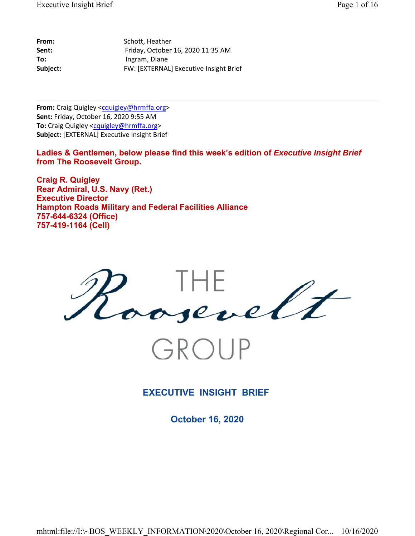| From:    | Schott, Heather                        |
|----------|----------------------------------------|
| Sent:    | Friday, October 16, 2020 11:35 AM      |
| To:      | Ingram, Diane                          |
| Subject: | FW: [EXTERNAL] Executive Insight Brief |

From: Craig Quigley <cquigley@hrmffa.org> **Sent:** Friday, October 16, 2020 9:55 AM **To:** Craig Quigley <cquigley@hrmffa.org> **Subject:** [EXTERNAL] Executive Insight Brief

Ladies & Gentlemen, below please find this week's edition of *Executive Insight Brief* **from The Roosevelt Group.**

**Craig R. Quigley Rear Admiral, U.S. Navy (Ret.) Executive Director Hampton Roads Military and Federal Facilities Alliance 757-644-6324 (Office) 757-419-1164 (Cell)**



GROUP

**EXECUTIVE INSIGHT BRIEF** 

**October 16, 2020**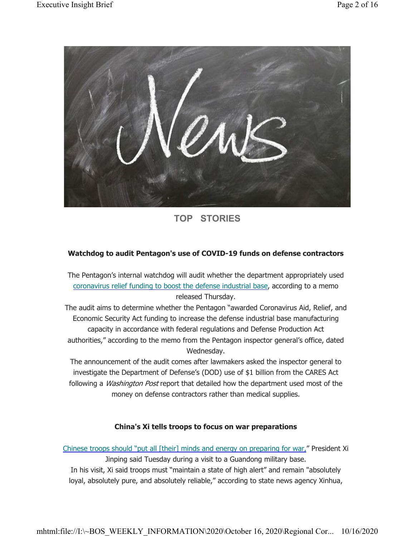

**TOP STORIES**

# **Watchdog to audit Pentagon's use of COVID-19 funds on defense contractors**

The Pentagon's internal watchdog will audit whether the department appropriately used coronavirus relief funding to boost the defense industrial base, according to a memo released Thursday.

The audit aims to determine whether the Pentagon "awarded Coronavirus Aid, Relief, and Economic Security Act funding to increase the defense industrial base manufacturing capacity in accordance with federal regulations and Defense Production Act authorities," according to the memo from the Pentagon inspector general's office, dated Wednesday.

The announcement of the audit comes after lawmakers asked the inspector general to investigate the Department of Defense's (DOD) use of \$1 billion from the CARES Act following a *Washington Post* report that detailed how the department used most of the money on defense contractors rather than medical supplies.

### **China's Xi tells troops to focus on war preparations**

Chinese troops should "put all [their] minds and energy on preparing for war," President Xi

Jinping said Tuesday during a visit to a Guandong military base. In his visit, Xi said troops must "maintain a state of high alert" and remain "absolutely loyal, absolutely pure, and absolutely reliable," according to state news agency Xinhua,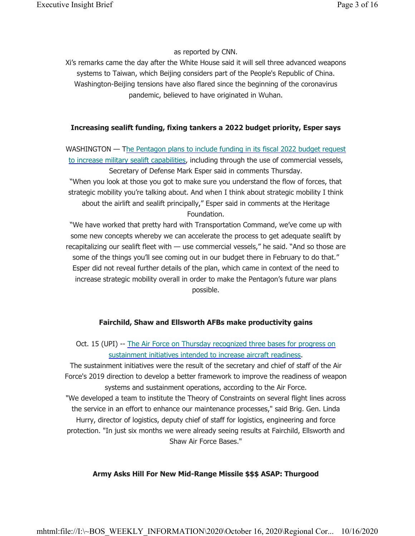### as reported by CNN.

Xi's remarks came the day after the White House said it will sell three advanced weapons systems to Taiwan, which Beijing considers part of the People's Republic of China. Washington-Beijing tensions have also flared since the beginning of the coronavirus pandemic, believed to have originated in Wuhan.

### **Increasing sealift funding, fixing tankers a 2022 budget priority, Esper says**

WASHINGTON — The Pentagon plans to include funding in its fiscal 2022 budget request to increase military sealift capabilities, including through the use of commercial vessels, Secretary of Defense Mark Esper said in comments Thursday. "When you look at those you got to make sure you understand the flow of forces, that strategic mobility you're talking about. And when I think about strategic mobility I think about the airlift and sealift principally," Esper said in comments at the Heritage Foundation.

"We have worked that pretty hard with Transportation Command, we've come up with some new concepts whereby we can accelerate the process to get adequate sealift by recapitalizing our sealift fleet with — use commercial vessels," he said. "And so those are some of the things you'll see coming out in our budget there in February to do that." Esper did not reveal further details of the plan, which came in context of the need to increase strategic mobility overall in order to make the Pentagon's future war plans possible.

### **Fairchild, Shaw and Ellsworth AFBs make productivity gains**

Oct. 15 (UPI) -- The Air Force on Thursday recognized three bases for progress on sustainment initiatives intended to increase aircraft readiness.

The sustainment initiatives were the result of the secretary and chief of staff of the Air Force's 2019 direction to develop a better framework to improve the readiness of weapon systems and sustainment operations, according to the Air Force.

"We developed a team to institute the Theory of Constraints on several flight lines across the service in an effort to enhance our maintenance processes," said Brig. Gen. Linda Hurry, director of logistics, deputy chief of staff for logistics, engineering and force protection. "In just six months we were already seeing results at Fairchild, Ellsworth and Shaw Air Force Bases."

### **Army Asks Hill For New Mid-Range Missile \$\$\$ ASAP: Thurgood**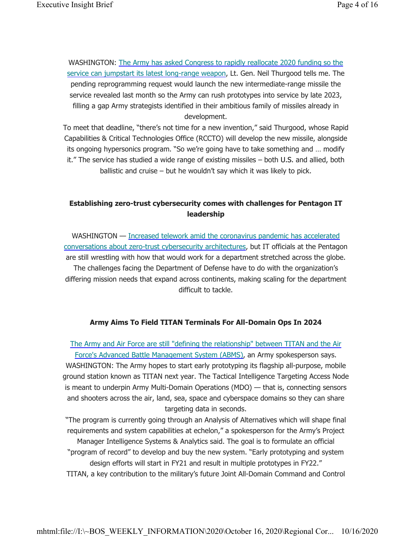WASHINGTON: The Army has asked Congress to rapidly reallocate 2020 funding so the service can jumpstart its latest long-range weapon, Lt. Gen. Neil Thurgood tells me. The pending reprogramming request would launch the new intermediate-range missile the service revealed last month so the Army can rush prototypes into service by late 2023, filling a gap Army strategists identified in their ambitious family of missiles already in development.

To meet that deadline, "there's not time for a new invention," said Thurgood, whose Rapid Capabilities & Critical Technologies Office (RCCTO) will develop the new missile, alongside its ongoing hypersonics program. "So we're going have to take something and … modify it." The service has studied a wide range of existing missiles – both U.S. and allied, both ballistic and cruise – but he wouldn't say which it was likely to pick.

# **Establishing zero-trust cybersecurity comes with challenges for Pentagon IT leadership**

WASHINGTON - Increased telework amid the coronavirus pandemic has accelerated conversations about zero-trust cybersecurity architectures, but IT officials at the Pentagon are still wrestling with how that would work for a department stretched across the globe. The challenges facing the Department of Defense have to do with the organization's differing mission needs that expand across continents, making scaling for the department difficult to tackle.

### **Army Aims To Field TITAN Terminals For All-Domain Ops In 2024**

The Army and Air Force are still "defining the relationship" between TITAN and the Air Force's Advanced Battle Management System (ABMS), an Army spokesperson says. WASHINGTON: The Army hopes to start early prototyping its flagship all-purpose, mobile ground station known as TITAN next year. The Tactical Intelligence Targeting Access Node is meant to underpin Army Multi-Domain Operations (MDO) — that is, connecting sensors and shooters across the air, land, sea, space and cyberspace domains so they can share targeting data in seconds.

"The program is currently going through an Analysis of Alternatives which will shape final requirements and system capabilities at echelon," a spokesperson for the Army's Project Manager Intelligence Systems & Analytics said. The goal is to formulate an official "program of record" to develop and buy the new system. "Early prototyping and system design efforts will start in FY21 and result in multiple prototypes in FY22." TITAN, a key contribution to the military's future Joint All-Domain Command and Control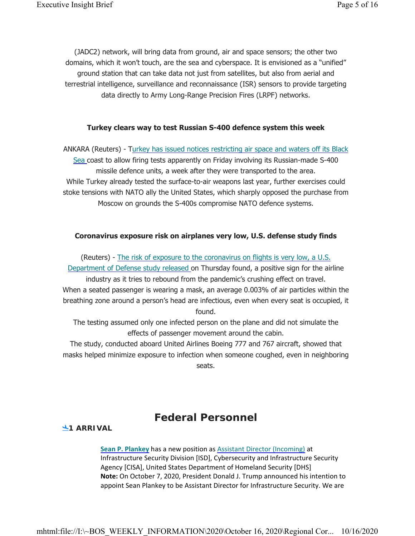(JADC2) network, will bring data from ground, air and space sensors; the other two domains, which it won't touch, are the sea and cyberspace. It is envisioned as a "unified" ground station that can take data not just from satellites, but also from aerial and terrestrial intelligence, surveillance and reconnaissance (ISR) sensors to provide targeting data directly to Army Long-Range Precision Fires (LRPF) networks.

### **Turkey clears way to test Russian S-400 defence system this week**

ANKARA (Reuters) - Turkey has issued notices restricting air space and waters off its Black Sea coast to allow firing tests apparently on Friday involving its Russian-made S-400 missile defence units, a week after they were transported to the area. While Turkey already tested the surface-to-air weapons last year, further exercises could stoke tensions with NATO ally the United States, which sharply opposed the purchase from Moscow on grounds the S-400s compromise NATO defence systems.

### **Coronavirus exposure risk on airplanes very low, U.S. defense study finds**

(Reuters) - The risk of exposure to the coronavirus on flights is very low, a U.S. Department of Defense study released on Thursday found, a positive sign for the airline industry as it tries to rebound from the pandemic's crushing effect on travel. When a seated passenger is wearing a mask, an average 0.003% of air particles within the breathing zone around a person's head are infectious, even when every seat is occupied, it found.

The testing assumed only one infected person on the plane and did not simulate the effects of passenger movement around the cabin.

The study, conducted aboard United Airlines Boeing 777 and 767 aircraft, showed that masks helped minimize exposure to infection when someone coughed, even in neighboring seats.

# **Federal Personnel**

### **1 ARRIVAL**

**Sean P. Plankey** has a new position as Assistant Director (Incoming) at Infrastructure Security Division [ISD], Cybersecurity and Infrastructure Security Agency [CISA], United States Department of Homeland Security [DHS] **Note:** On October 7, 2020, President Donald J. Trump announced his intention to appoint Sean Plankey to be Assistant Director for Infrastructure Security. We are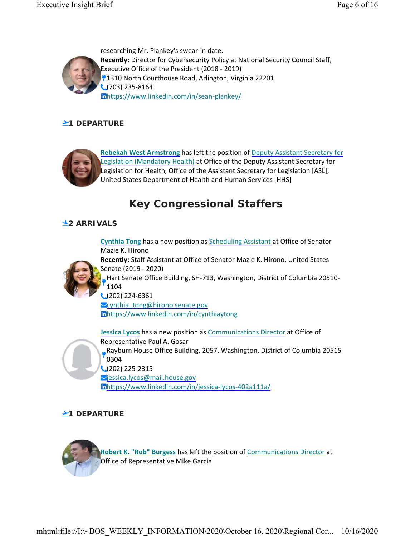

researching Mr. Plankey's swear-in date. **Recently:** Director for Cybersecurity Policy at National Security Council Staff, Executive Office of the President (2018 - 2019) 1310 North Courthouse Road, Arlington, Virginia 22201  $\bigcup$  (703) 235-8164 https://www.linkedin.com/in/sean-plankey/

# **21 DEPARTURE**



**Rebekah West Armstrong** has left the position of Deputy Assistant Secretary for Legislation (Mandatory Health) at Office of the Deputy Assistant Secretary for Legislation for Health, Office of the Assistant Secretary for Legislation [ASL], United States Department of Health and Human Services [HHS]

# **Key Congressional Staffers**

## **2 ARRIVALS**



**Cynthia Tong** has a new position as Scheduling Assistant at Office of Senator Mazie K. Hirono **Recently:** Staff Assistant at Office of Senator Mazie K. Hirono, United States Senate (2019 - 2020) Hart Senate Office Building, SH-713, Washington, District of Columbia 20510- 1104  $\bigcup$  (202) 224-6361 **Cynthia\_tong@hirono.senate.gov** https://www.linkedin.com/in/cynthiaytong

**Jessica Lycos** has a new position as Communications Director at Office of Representative Paul A. Gosar Rayburn House Office Building, 2057, Washington, District of Columbia 20515- 0304  $\bigcup$  (202) 225-2315 Viessica.lycos@mail.house.gov https://www.linkedin.com/in/jessica-lycos-402a111a/

# **21 DEPARTURE**

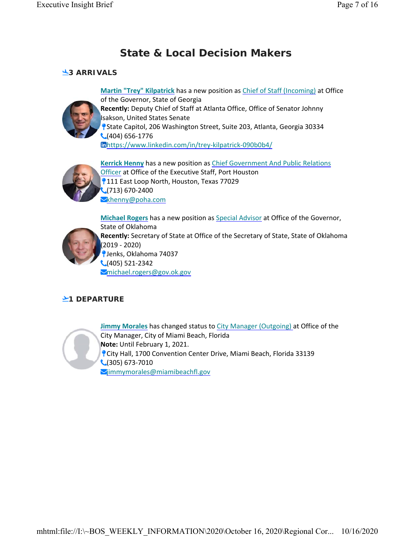# **State & Local Decision Makers**

## **3 ARRIVALS**



**Martin "Trey" Kilpatrick** has a new position as Chief of Staff (Incoming) at Office of the Governor, State of Georgia **Recently:** Deputy Chief of Staff at Atlanta Office, Office of Senator Johnny Isakson, United States Senate State Capitol, 206 Washington Street, Suite 203, Atlanta, Georgia 30334  $\bigcup (404) 656 - 1776$ https://www.linkedin.com/in/trey-kilpatrick-090b0b4/



**Kerrick Henny** has a new position as Chief Government And Public Relations Officer at Office of the Executive Staff, Port Houston **9111 East Loop North, Houston, Texas 77029**  $(713)$  670-2400 **X**khenny@poha.com



**Michael Rogers** has a new position as Special Advisor at Office of the Governor, State of Oklahoma **Recently:** Secretary of State at Office of the Secretary of State, State of Oklahoma (2019 - 2020) Jenks, Oklahoma 74037  $\bigcup (405) 521 - 2342$ michael.rogers@gov.ok.gov

# **21 DEPARTURE**



**Jimmy Morales** has changed status to City Manager (Outgoing) at Office of the City Manager, City of Miami Beach, Florida **Note:** Until February 1, 2021. City Hall, 1700 Convention Center Drive, Miami Beach, Florida 33139  $\bigcup$  (305) 673-7010 Mimmymorales@miamibeachfl.gov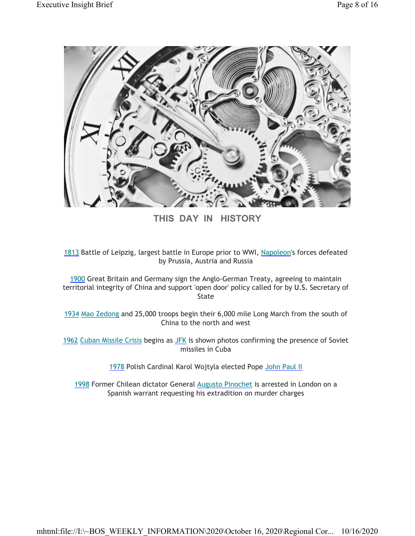

**THIS DAY IN HISTORY**

1813 Battle of Leipzig, largest battle in Europe prior to WWI, Napoleon's forces defeated by Prussia, Austria and Russia

1900 Great Britain and Germany sign the Anglo-German Treaty, agreeing to maintain territorial integrity of China and support 'open door' policy called for by U.S. Secretary of State

1934 Mao Zedong and 25,000 troops begin their 6,000 mile Long March from the south of China to the north and west

1962 Cuban Missile Crisis begins as JFK is shown photos confirming the presence of Soviet missiles in Cuba

1978 Polish Cardinal Karol Wojtyla elected Pope John Paul II

1998 Former Chilean dictator General Augusto Pinochet is arrested in London on a Spanish warrant requesting his extradition on murder charges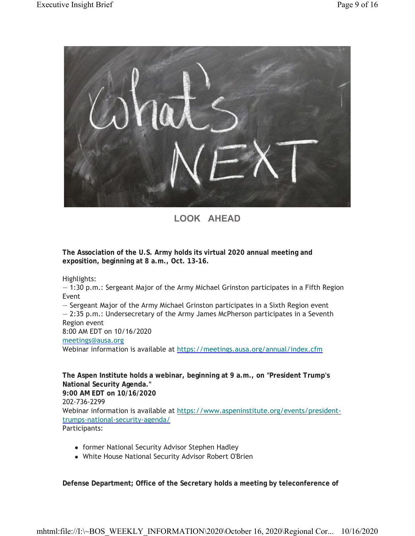

**LOOK AHEAD**

**The Association of the U.S. Army holds its virtual 2020 annual meeting and exposition, beginning at 8 a.m., Oct. 13-16.**

Highlights:

— 1:30 p.m.: Sergeant Major of the Army Michael Grinston participates in a Fifth Region Event

— Sergeant Major of the Army Michael Grinston participates in a Sixth Region event

— 2:35 p.m.: Undersecretary of the Army James McPherson participates in a Seventh Region event

8:00 AM EDT on 10/16/2020

meetings@ausa.org

Webinar information is available at https://meetings.ausa.org/annual/index.cfm

**The Aspen Institute holds a webinar, beginning at 9 a.m., on "President Trump's National Security Agenda." 9:00 AM EDT on 10/16/2020** 202-736-2299 Webinar information is available at https://www.aspeninstitute.org/events/presidenttrumps-national-security-agenda/ Participants:

- former National Security Advisor Stephen Hadley
- White House National Security Advisor Robert O'Brien

**Defense Department; Office of the Secretary holds a meeting by teleconference of**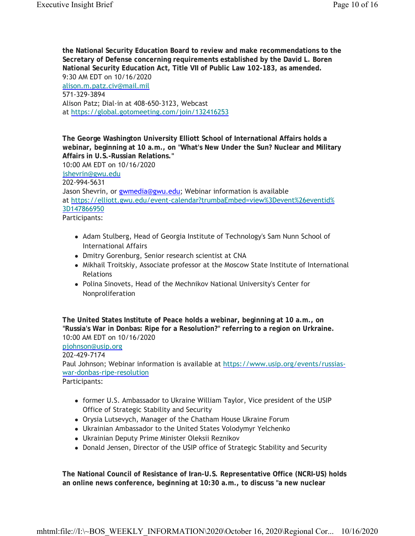**the National Security Education Board to review and make recommendations to the Secretary of Defense concerning requirements established by the David L. Boren National Security Education Act, Title VII of Public Law 102-183, as amended.** 9:30 AM EDT on 10/16/2020 alison.m.patz.civ@mail.mil 571-329-3894 Alison Patz; Dial-in at 408-650-3123, Webcast at https://global.gotomeeting.com/join/132416253

**The George Washington University Elliott School of International Affairs holds a webinar, beginning at 10 a.m., on "What's New Under the Sun? Nuclear and Military Affairs in U.S.-Russian Relations."** 10:00 AM EDT on 10/16/2020 jshevrin@gwu.edu 202-994-5631 Jason Shevrin, or gwmedia@gwu.edu; Webinar information is available at https://elliott.gwu.edu/event-calendar?trumbaEmbed=view%3Devent%26eventid% 3D147866950 Participants:

- Adam Stulberg, Head of Georgia Institute of Technology's Sam Nunn School of International Affairs
- Dmitry Gorenburg, Senior research scientist at CNA
- Mikhail Troitskiy, Associate professor at the Moscow State Institute of International Relations
- Polina Sinovets, Head of the Mechnikov National University's Center for Nonproliferation

**The United States Institute of Peace holds a webinar, beginning at 10 a.m., on "Russia's War in Donbas: Ripe for a Resolution?" referring to a region on Urkraine.** 10:00 AM EDT on 10/16/2020 pjohnson@usip.org 202-429-7174 Paul Johnson; Webinar information is available at https://www.usip.org/events/russiaswar-donbas-ripe-resolution Participants:

- former U.S. Ambassador to Ukraine William Taylor, Vice president of the USIP Office of Strategic Stability and Security
- Orysia Lutsevych, Manager of the Chatham House Ukraine Forum
- Ukrainian Ambassador to the United States Volodymyr Yelchenko
- Ukrainian Deputy Prime Minister Oleksii Reznikov
- Donald Jensen, Director of the USIP office of Strategic Stability and Security

**The National Council of Resistance of Iran-U.S. Representative Office (NCRI-US) holds an online news conference, beginning at 10:30 a.m., to discuss "a new nuclear**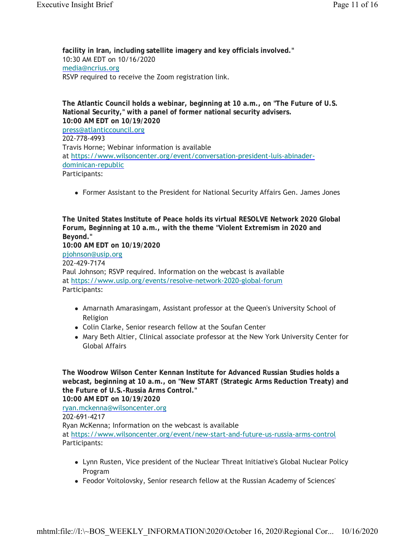**facility in Iran, including satellite imagery and key officials involved."** 10:30 AM EDT on 10/16/2020 media@ncrius.org RSVP required to receive the Zoom registration link.

**The Atlantic Council holds a webinar, beginning at 10 a.m., on "The Future of U.S. National Security," with a panel of former national security advisers. 10:00 AM EDT on 10/19/2020** press@atlanticcouncil.org 202-778-4993 Travis Horne; Webinar information is available at https://www.wilsoncenter.org/event/conversation-president-luis-abinaderdominican-republic Participants:

Former Assistant to the President for National Security Affairs Gen. James Jones

**The United States Institute of Peace holds its virtual RESOLVE Network 2020 Global Forum, Beginning at 10 a.m., with the theme "Violent Extremism in 2020 and Beyond." 10:00 AM EDT on 10/19/2020** pjohnson@usip.org 202-429-7174 Paul Johnson; RSVP required. Information on the webcast is available at https://www.usip.org/events/resolve-network-2020-global-forum Participants:

- Amarnath Amarasingam, Assistant professor at the Queen's University School of Religion
- Colin Clarke, Senior research fellow at the Soufan Center
- Mary Beth Altier, Clinical associate professor at the New York University Center for Global Affairs

**The Woodrow Wilson Center Kennan Institute for Advanced Russian Studies holds a webcast, beginning at 10 a.m., on "New START (Strategic Arms Reduction Treaty) and the Future of U.S.-Russia Arms Control." 10:00 AM EDT on 10/19/2020** ryan.mckenna@wilsoncenter.org 202-691-4217 Ryan McKenna; Information on the webcast is available at https://www.wilsoncenter.org/event/new-start-and-future-us-russia-arms-control Participants:

- Lynn Rusten, Vice president of the Nuclear Threat Initiative's Global Nuclear Policy Program
- Feodor Voitolovsky, Senior research fellow at the Russian Academy of Sciences'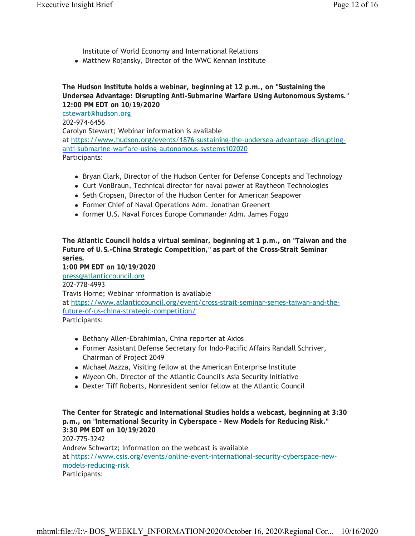Institute of World Economy and International Relations

• Matthew Rojansky, Director of the WWC Kennan Institute

**The Hudson Institute holds a webinar, beginning at 12 p.m., on "Sustaining the Undersea Advantage: Disrupting Anti-Submarine Warfare Using Autonomous Systems." 12:00 PM EDT on 10/19/2020** cstewart@hudson.org 202-974-6456 Carolyn Stewart; Webinar information is available at https://www.hudson.org/events/1876-sustaining-the-undersea-advantage-disruptinganti-submarine-warfare-using-autonomous-systems102020 Participants:

- Bryan Clark, Director of the Hudson Center for Defense Concepts and Technology
- Curt VonBraun, Technical director for naval power at Raytheon Technologies
- Seth Cropsen, Director of the Hudson Center for American Seapower
- Former Chief of Naval Operations Adm. Jonathan Greenert
- former U.S. Naval Forces Europe Commander Adm. James Foggo

**The Atlantic Council holds a virtual seminar, beginning at 1 p.m., on "Taiwan and the Future of U.S.-China Strategic Competition," as part of the Cross-Strait Seminar series.**

**1:00 PM EDT on 10/19/2020** press@atlanticcouncil.org 202-778-4993 Travis Horne; Webinar information is available at https://www.atlanticcouncil.org/event/cross-strait-seminar-series-taiwan-and-thefuture-of-us-china-strategic-competition/ Participants:

- Bethany Allen-Ebrahimian, China reporter at Axios
- Former Assistant Defense Secretary for Indo-Pacific Affairs Randall Schriver, Chairman of Project 2049
- Michael Mazza, Visiting fellow at the American Enterprise Institute
- Miyeon Oh, Director of the Atlantic Council's Asia Security Initiative
- Dexter Tiff Roberts, Nonresident senior fellow at the Atlantic Council

**The Center for Strategic and International Studies holds a webcast, beginning at 3:30 p.m., on "International Security in Cyberspace - New Models for Reducing Risk." 3:30 PM EDT on 10/19/2020** 202-775-3242 Andrew Schwartz; Information on the webcast is available at https://www.csis.org/events/online-event-international-security-cyberspace-newmodels-reducing-risk Participants: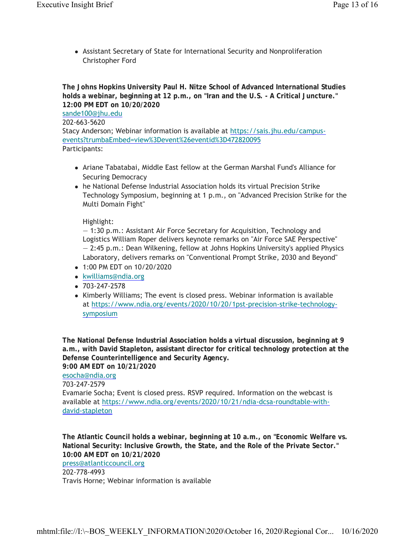Assistant Secretary of State for International Security and Nonproliferation Christopher Ford

**The Johns Hopkins University Paul H. Nitze School of Advanced International Studies holds a webinar, beginning at 12 p.m., on "Iran and the U.S. - A Critical Juncture." 12:00 PM EDT on 10/20/2020** sande100@jhu.edu 202-663-5620 Stacy Anderson; Webinar information is available at https://sais.jhu.edu/campusevents?trumbaEmbed=view%3Devent%26eventid%3D472820095 Participants:

- Ariane Tabatabai, Middle East fellow at the German Marshal Fund's Alliance for Securing Democracy
- he National Defense Industrial Association holds its virtual Precision Strike Technology Symposium, beginning at 1 p.m., on "Advanced Precision Strike for the Multi Domain Fight"

Highlight:

— 1:30 p.m.: Assistant Air Force Secretary for Acquisition, Technology and Logistics William Roper delivers keynote remarks on "Air Force SAE Perspective" — 2:45 p.m.: Dean Wilkening, fellow at Johns Hopkins University's applied Physics Laboratory, delivers remarks on "Conventional Prompt Strike, 2030 and Beyond"

- 1:00 PM EDT on 10/20/2020
- kwilliams@ndia.org
- $-703 247 2578$
- Kimberly Williams; The event is closed press. Webinar information is available at https://www.ndia.org/events/2020/10/20/1pst-precision-strike-technologysymposium

**The National Defense Industrial Association holds a virtual discussion, beginning at 9 a.m., with David Stapleton, assistant director for critical technology protection at the Defense Counterintelligence and Security Agency.**

**9:00 AM EDT on 10/21/2020**

esocha@ndia.org

703-247-2579

Evamarie Socha; Event is closed press. RSVP required. Information on the webcast is available at https://www.ndia.org/events/2020/10/21/ndia-dcsa-roundtable-withdavid-stapleton

**The Atlantic Council holds a webinar, beginning at 10 a.m., on "Economic Welfare vs. National Security: Inclusive Growth, the State, and the Role of the Private Sector." 10:00 AM EDT on 10/21/2020**

press@atlanticcouncil.org

202-778-4993

Travis Horne; Webinar information is available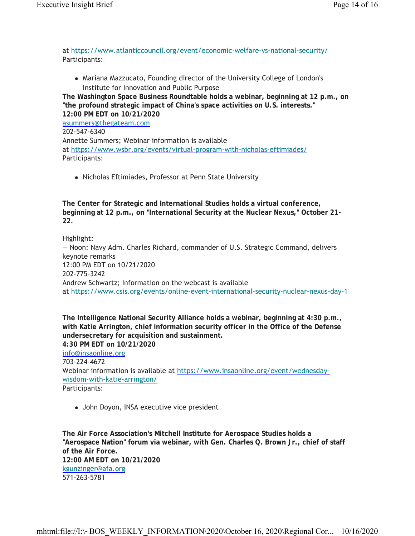at https://www.atlanticcouncil.org/event/economic-welfare-vs-national-security/ Participants:

 Mariana Mazzucato, Founding director of the University College of London's Institute for Innovation and Public Purpose

**The Washington Space Business Roundtable holds a webinar, beginning at 12 p.m., on "the profound strategic impact of China's space activities on U.S. interests." 12:00 PM EDT on 10/21/2020** asummers@thegateam.com 202-547-6340 Annette Summers; Webinar information is available at https://www.wsbr.org/events/virtual-program-with-nicholas-eftimiades/ Participants:

Nicholas Eftimiades, Professor at Penn State University

**The Center for Strategic and International Studies holds a virtual conference, beginning at 12 p.m., on "International Security at the Nuclear Nexus," October 21- 22.**

Highlight: — Noon: Navy Adm. Charles Richard, commander of U.S. Strategic Command, delivers keynote remarks 12:00 PM EDT on 10/21/2020 202-775-3242 Andrew Schwartz; Information on the webcast is available at https://www.csis.org/events/online-event-international-security-nuclear-nexus-day-1

**The Intelligence National Security Alliance holds a webinar, beginning at 4:30 p.m., with Katie Arrington, chief information security officer in the Office of the Defense undersecretary for acquisition and sustainment. 4:30 PM EDT on 10/21/2020** info@insaonline.org 703-224-4672 Webinar information is available at https://www.insaonline.org/event/wednesdaywisdom-with-katie-arrington/ Participants:

John Doyon, INSA executive vice president

**The Air Force Association's Mitchell Institute for Aerospace Studies holds a "Aerospace Nation" forum via webinar, with Gen. Charles Q. Brown Jr., chief of staff of the Air Force. 12:00 AM EDT on 10/21/2020** kgunzinger@afa.org 571-263-5781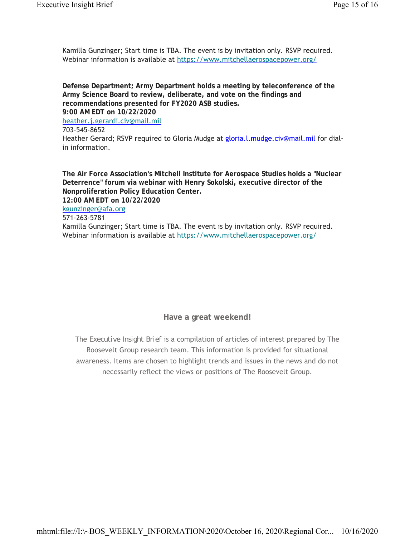Kamilla Gunzinger; Start time is TBA. The event is by invitation only. RSVP required. Webinar information is available at https://www.mitchellaerospacepower.org/

**Defense Department; Army Department holds a meeting by teleconference of the Army Science Board to review, deliberate, and vote on the findings and recommendations presented for FY2020 ASB studies. 9:00 AM EDT on 10/22/2020** heather.j.gerardi.civ@mail.mil 703-545-8652 Heather Gerard; RSVP required to Gloria Mudge at gloria.l.mudge.civ@mail.mil for dialin information.

**The Air Force Association's Mitchell Institute for Aerospace Studies holds a "Nuclear Deterrence" forum via webinar with Henry Sokolski, executive director of the Nonproliferation Policy Education Center.**

**12:00 AM EDT on 10/22/2020**

#### kgunzinger@afa.org 571-263-5781

Kamilla Gunzinger; Start time is TBA. The event is by invitation only. RSVP required. Webinar information is available at https://www.mitchellaerospacepower.org/

**Have a great weekend!**

The *Executive Insight Brief* is a compilation of articles of interest prepared by The Roosevelt Group research team. This information is provided for situational awareness. Items are chosen to highlight trends and issues in the news and do not necessarily reflect the views or positions of The Roosevelt Group.